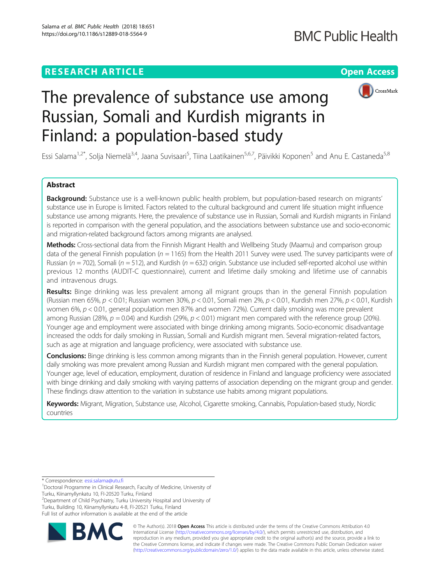# **RESEARCH ARTICLE Example 2018 12:30 THE Open Access**



# The prevalence of substance use among Russian, Somali and Kurdish migrants in Finland: a population-based study

Essi Salama<sup>1,2\*</sup>, Solja Niemelä<sup>3,4</sup>, Jaana Suvisaari<sup>5</sup>, Tiina Laatikainen<sup>5,6,7</sup>, Päivikki Koponen<sup>5</sup> and Anu E. Castaneda<sup>5,8</sup>

# Abstract

Background: Substance use is a well-known public health problem, but population-based research on migrants' substance use in Europe is limited. Factors related to the cultural background and current life situation might influence substance use among migrants. Here, the prevalence of substance use in Russian, Somali and Kurdish migrants in Finland is reported in comparison with the general population, and the associations between substance use and socio-economic and migration-related background factors among migrants are analysed.

Methods: Cross-sectional data from the Finnish Migrant Health and Wellbeing Study (Maamu) and comparison group data of the general Finnish population ( $n = 1165$ ) from the Health 2011 Survey were used. The survey participants were of Russian ( $n = 702$ ), Somali ( $n = 512$ ), and Kurdish ( $n = 632$ ) origin. Substance use included self-reported alcohol use within previous 12 months (AUDIT-C questionnaire), current and lifetime daily smoking and lifetime use of cannabis and intravenous drugs.

Results: Binge drinking was less prevalent among all migrant groups than in the general Finnish population (Russian men 65%,  $p < 0.01$ ; Russian women 30%,  $p < 0.01$ , Somali men 2%,  $p < 0.01$ , Kurdish men 27%,  $p < 0.01$ , Kurdish women 6%,  $p < 0.01$ , general population men 87% and women 72%). Current daily smoking was more prevalent among Russian (28%,  $p = 0.04$ ) and Kurdish (29%,  $p < 0.01$ ) migrant men compared with the reference group (20%). Younger age and employment were associated with binge drinking among migrants. Socio-economic disadvantage increased the odds for daily smoking in Russian, Somali and Kurdish migrant men. Several migration-related factors, such as age at migration and language proficiency, were associated with substance use.

Conclusions: Binge drinking is less common among migrants than in the Finnish general population. However, current daily smoking was more prevalent among Russian and Kurdish migrant men compared with the general population. Younger age, level of education, employment, duration of residence in Finland and language proficiency were associated with binge drinking and daily smoking with varying patterns of association depending on the migrant group and gender. These findings draw attention to the variation in substance use habits among migrant populations.

Keywords: Migrant, Migration, Substance use, Alcohol, Cigarette smoking, Cannabis, Population-based study, Nordic countries

\* Correspondence: [essi.salama@utu.fi](mailto:essi.salama@utu.fi) <sup>1</sup>

2 Department of Child Psychiatry, Turku University Hospital and University of Turku, Building 10, Kiinamyllynkatu 4-8, FI-20521 Turku, Finland

Full list of author information is available at the end of the article



© The Author(s). 2018 Open Access This article is distributed under the terms of the Creative Commons Attribution 4.0 International License [\(http://creativecommons.org/licenses/by/4.0/](http://creativecommons.org/licenses/by/4.0/)), which permits unrestricted use, distribution, and reproduction in any medium, provided you give appropriate credit to the original author(s) and the source, provide a link to the Creative Commons license, and indicate if changes were made. The Creative Commons Public Domain Dedication waiver [\(http://creativecommons.org/publicdomain/zero/1.0/](http://creativecommons.org/publicdomain/zero/1.0/)) applies to the data made available in this article, unless otherwise stated.

<sup>&</sup>lt;sup>1</sup>Doctoral Programme in Clinical Research, Faculty of Medicine, University of Turku, Kiinamyllynkatu 10, FI-20520 Turku, Finland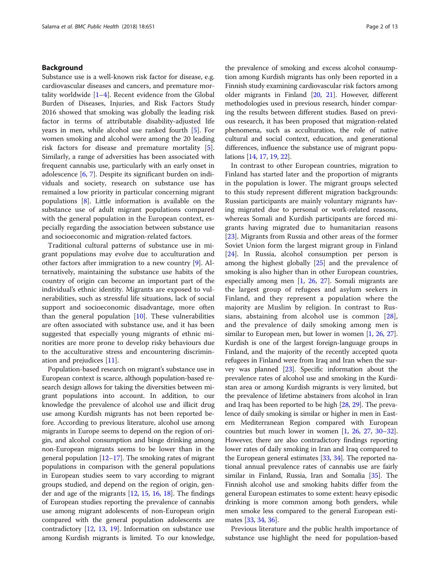# Background

Substance use is a well-known risk factor for disease, e.g. cardiovascular diseases and cancers, and premature mortality worldwide  $[1-4]$  $[1-4]$  $[1-4]$  $[1-4]$ . Recent evidence from the Global Burden of Diseases, Injuries, and Risk Factors Study 2016 showed that smoking was globally the leading risk factor in terms of attributable disability-adjusted life years in men, while alcohol use ranked fourth [\[5\]](#page-11-0). For women smoking and alcohol were among the 20 leading risk factors for disease and premature mortality [\[5](#page-11-0)]. Similarly, a range of adversities has been associated with frequent cannabis use, particularly with an early onset in adolescence [\[6](#page-11-0), [7](#page-11-0)]. Despite its significant burden on individuals and society, research on substance use has remained a low priority in particular concerning migrant populations [\[8](#page-11-0)]. Little information is available on the substance use of adult migrant populations compared with the general population in the European context, especially regarding the association between substance use and socioeconomic and migration-related factors.

Traditional cultural patterns of substance use in migrant populations may evolve due to acculturation and other factors after immigration to a new country [\[9](#page-11-0)]. Alternatively, maintaining the substance use habits of the country of origin can become an important part of the individual's ethnic identity. Migrants are exposed to vulnerabilities, such as stressful life situations, lack of social support and socioeconomic disadvantage, more often than the general population  $[10]$  $[10]$ . These vulnerabilities are often associated with substance use, and it has been suggested that especially young migrants of ethnic minorities are more prone to develop risky behaviours due to the acculturative stress and encountering discrimination and prejudices [[11\]](#page-11-0).

Population-based research on migrant's substance use in European context is scarce, although population-based research design allows for taking the diversities between migrant populations into account. In addition, to our knowledge the prevalence of alcohol use and illicit drug use among Kurdish migrants has not been reported before. According to previous literature, alcohol use among migrants in Europe seems to depend on the region of origin, and alcohol consumption and binge drinking among non-European migrants seems to be lower than in the general population  $[12–17]$  $[12–17]$  $[12–17]$  $[12–17]$ . The smoking rates of migrant populations in comparison with the general populations in European studies seem to vary according to migrant groups studied, and depend on the region of origin, gender and age of the migrants [\[12](#page-11-0), [15,](#page-11-0) [16](#page-11-0), [18](#page-11-0)]. The findings of European studies reporting the prevalence of cannabis use among migrant adolescents of non-European origin compared with the general population adolescents are contradictory [\[12,](#page-11-0) [13,](#page-11-0) [19](#page-11-0)]. Information on substance use among Kurdish migrants is limited. To our knowledge,

the prevalence of smoking and excess alcohol consumption among Kurdish migrants has only been reported in a Finnish study examining cardiovascular risk factors among older migrants in Finland [\[20,](#page-11-0) [21\]](#page-11-0). However, different methodologies used in previous research, hinder comparing the results between different studies. Based on previous research, it has been proposed that migration-related phenomena, such as acculturation, the role of native cultural and social context, education, and generational differences, influence the substance use of migrant populations [[14](#page-11-0), [17,](#page-11-0) [19](#page-11-0), [22](#page-11-0)].

In contrast to other European countries, migration to Finland has started later and the proportion of migrants in the population is lower. The migrant groups selected to this study represent different migration backgrounds: Russian participants are mainly voluntary migrants having migrated due to personal or work-related reasons, whereas Somali and Kurdish participants are forced migrants having migrated due to humanitarian reasons [[23\]](#page-11-0). Migrants from Russia and other areas of the former Soviet Union form the largest migrant group in Finland [[24\]](#page-11-0). In Russia, alcohol consumption per person is among the highest globally [[25\]](#page-11-0) and the prevalence of smoking is also higher than in other European countries, especially among men [[1,](#page-11-0) [26](#page-11-0), [27\]](#page-11-0). Somali migrants are the largest group of refugees and asylum seekers in Finland, and they represent a population where the majority are Muslim by religion. In contrast to Russians, abstaining from alcohol use is common [\[28](#page-11-0)], and the prevalence of daily smoking among men is similar to European men, but lower in women [[1,](#page-11-0) [26,](#page-11-0) [27](#page-11-0)]. Kurdish is one of the largest foreign-language groups in Finland, and the majority of the recently accepted quota refugees in Finland were from Iraq and Iran when the survey was planned [[23\]](#page-11-0). Specific information about the prevalence rates of alcohol use and smoking in the Kurdistan area or among Kurdish migrants is very limited, but the prevalence of lifetime abstainers from alcohol in Iran and Iraq has been reported to be high [\[28](#page-11-0), [29\]](#page-11-0). The prevalence of daily smoking is similar or higher in men in Eastern Mediterranean Region compared with European countries but much lower in women [\[1](#page-11-0), [26](#page-11-0), [27](#page-11-0), [30](#page-11-0)–[32](#page-11-0)]. However, there are also contradictory findings reporting lower rates of daily smoking in Iran and Iraq compared to the European general estimates [[33](#page-11-0), [34](#page-11-0)]. The reported national annual prevalence rates of cannabis use are fairly similar in Finland, Russia, Iran and Somalia [\[35](#page-11-0)]. The Finnish alcohol use and smoking habits differ from the general European estimates to some extent: heavy episodic drinking is more common among both genders, while men smoke less compared to the general European estimates [\[33,](#page-11-0) [34,](#page-11-0) [36](#page-11-0)].

Previous literature and the public health importance of substance use highlight the need for population-based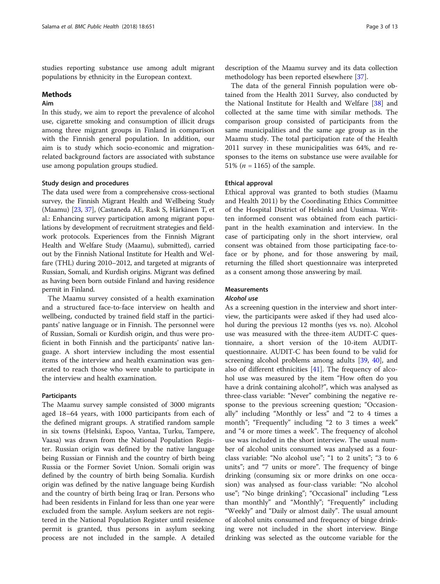studies reporting substance use among adult migrant populations by ethnicity in the European context.

# **Methods**

# Aim

In this study, we aim to report the prevalence of alcohol use, cigarette smoking and consumption of illicit drugs among three migrant groups in Finland in comparison with the Finnish general population. In addition, our aim is to study which socio-economic and migrationrelated background factors are associated with substance use among population groups studied.

# Study design and procedures

The data used were from a comprehensive cross-sectional survey, the Finnish Migrant Health and Wellbeing Study (Maamu) [\[23,](#page-11-0) [37](#page-11-0)], (Castaneda AE, Rask S, Härkänen T, et al.: Enhancing survey participation among migrant populations by development of recruitment strategies and fieldwork protocols. Experiences from the Finnish Migrant Health and Welfare Study (Maamu), submitted), carried out by the Finnish National Institute for Health and Welfare (THL) during 2010–2012, and targeted at migrants of Russian, Somali, and Kurdish origins. Migrant was defined as having been born outside Finland and having residence permit in Finland.

The Maamu survey consisted of a health examination and a structured face-to-face interview on health and wellbeing, conducted by trained field staff in the participants' native language or in Finnish. The personnel were of Russian, Somali or Kurdish origin, and thus were proficient in both Finnish and the participants' native language. A short interview including the most essential items of the interview and health examination was generated to reach those who were unable to participate in the interview and health examination.

# **Participants**

The Maamu survey sample consisted of 3000 migrants aged 18–64 years, with 1000 participants from each of the defined migrant groups. A stratified random sample in six towns (Helsinki, Espoo, Vantaa, Turku, Tampere, Vaasa) was drawn from the National Population Register. Russian origin was defined by the native language being Russian or Finnish and the country of birth being Russia or the Former Soviet Union. Somali origin was defined by the country of birth being Somalia. Kurdish origin was defined by the native language being Kurdish and the country of birth being Iraq or Iran. Persons who had been residents in Finland for less than one year were excluded from the sample. Asylum seekers are not registered in the National Population Register until residence permit is granted, thus persons in asylum seeking process are not included in the sample. A detailed description of the Maamu survey and its data collection methodology has been reported elsewhere [\[37](#page-11-0)].

The data of the general Finnish population were obtained from the Health 2011 Survey, also conducted by the National Institute for Health and Welfare [\[38](#page-11-0)] and collected at the same time with similar methods. The comparison group consisted of participants from the same municipalities and the same age group as in the Maamu study. The total participation rate of the Health 2011 survey in these municipalities was 64%, and responses to the items on substance use were available for 51% ( $n = 1165$ ) of the sample.

# Ethical approval

Ethical approval was granted to both studies (Maamu and Health 2011) by the Coordinating Ethics Committee of the Hospital District of Helsinki and Uusimaa. Written informed consent was obtained from each participant in the health examination and interview. In the case of participating only in the short interview, oral consent was obtained from those participating face-toface or by phone, and for those answering by mail, returning the filled short questionnaire was interpreted as a consent among those answering by mail.

# Measurements

# Alcohol use

As a screening question in the interview and short interview, the participants were asked if they had used alcohol during the previous 12 months (yes vs. no). Alcohol use was measured with the three-item AUDIT-C questionnaire, a short version of the 10-item AUDITquestionnaire. AUDIT-C has been found to be valid for screening alcohol problems among adults [[39,](#page-11-0) [40\]](#page-11-0), and also of different ethnicities  $[41]$  $[41]$  $[41]$ . The frequency of alcohol use was measured by the item "How often do you have a drink containing alcohol?", which was analysed as three-class variable: "Never" combining the negative response to the previous screening question; "Occasionally" including "Monthly or less" and "2 to 4 times a month"; "Frequently" including "2 to 3 times a week" and "4 or more times a week". The frequency of alcohol use was included in the short interview. The usual number of alcohol units consumed was analysed as a fourclass variable: "No alcohol use"; "1 to 2 units"; "3 to 6 units"; and "7 units or more". The frequency of binge drinking (consuming six or more drinks on one occasion) was analysed as four-class variable: "No alcohol use"; "No binge drinking"; "Occasional" including "Less than monthly" and "Monthly"; "Frequently" including "Weekly" and "Daily or almost daily". The usual amount of alcohol units consumed and frequency of binge drinking were not included in the short interview. Binge drinking was selected as the outcome variable for the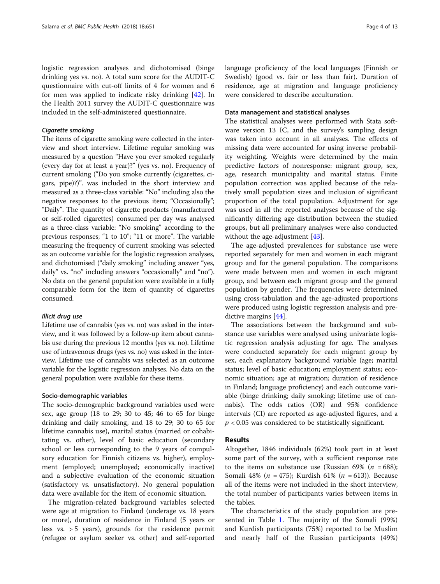logistic regression analyses and dichotomised (binge drinking yes vs. no). A total sum score for the AUDIT-C questionnaire with cut-off limits of 4 for women and 6 for men was applied to indicate risky drinking [\[42](#page-12-0)]. In the Health 2011 survey the AUDIT-C questionnaire was included in the self-administered questionnaire.

#### Cigarette smoking

The items of cigarette smoking were collected in the interview and short interview. Lifetime regular smoking was measured by a question "Have you ever smoked regularly (every day for at least a year)?" (yes vs. no). Frequency of current smoking ("Do you smoke currently (cigarettes, cigars, pipe)?)". was included in the short interview and measured as a three-class variable: "No" including also the negative responses to the previous item; "Occasionally"; "Daily". The quantity of cigarette products (manufactured or self-rolled cigarettes) consumed per day was analysed as a three-class variable: "No smoking" according to the previous responses; "1 to 10"; "11 or more". The variable measuring the frequency of current smoking was selected as an outcome variable for the logistic regression analyses, and dichotomised ("daily smoking" including answer "yes, daily" vs. "no" including answers "occasionally" and "no"). No data on the general population were available in a fully comparable form for the item of quantity of cigarettes consumed.

# Illicit drug use

Lifetime use of cannabis (yes vs. no) was asked in the interview, and it was followed by a follow-up item about cannabis use during the previous 12 months (yes vs. no). Lifetime use of intravenous drugs (yes vs. no) was asked in the interview. Lifetime use of cannabis was selected as an outcome variable for the logistic regression analyses. No data on the general population were available for these items.

# Socio-demographic variables

The socio-demographic background variables used were sex, age group (18 to 29; 30 to 45; 46 to 65 for binge drinking and daily smoking, and 18 to 29; 30 to 65 for lifetime cannabis use), marital status (married or cohabitating vs. other), level of basic education (secondary school or less corresponding to the 9 years of compulsory education for Finnish citizens vs. higher), employment (employed; unemployed; economically inactive) and a subjective evaluation of the economic situation (satisfactory vs. unsatisfactory). No general population data were available for the item of economic situation.

The migration-related background variables selected were age at migration to Finland (underage vs. 18 years or more), duration of residence in Finland (5 years or less vs. > 5 years), grounds for the residence permit (refugee or asylum seeker vs. other) and self-reported language proficiency of the local languages (Finnish or Swedish) (good vs. fair or less than fair). Duration of residence, age at migration and language proficiency were considered to describe acculturation.

#### Data management and statistical analyses

The statistical analyses were performed with Stata software version 13 IC, and the survey's sampling design was taken into account in all analyses. The effects of missing data were accounted for using inverse probability weighting. Weights were determined by the main predictive factors of nonresponse: migrant group, sex, age, research municipality and marital status. Finite population correction was applied because of the relatively small population sizes and inclusion of significant proportion of the total population. Adjustment for age was used in all the reported analyses because of the significantly differing age distribution between the studied groups, but all preliminary analyses were also conducted without the age-adjustment [[43](#page-12-0)].

The age-adjusted prevalences for substance use were reported separately for men and women in each migrant group and for the general population. The comparisons were made between men and women in each migrant group, and between each migrant group and the general population by gender. The frequencies were determined using cross-tabulation and the age-adjusted proportions were produced using logistic regression analysis and predictive margins [\[44](#page-12-0)].

The associations between the background and substance use variables were analysed using univariate logistic regression analysis adjusting for age. The analyses were conducted separately for each migrant group by sex, each explanatory background variable (age; marital status; level of basic education; employment status; economic situation; age at migration; duration of residence in Finland; language proficiency) and each outcome variable (binge drinking; daily smoking; lifetime use of cannabis). The odds ratios (OR) and 95% confidence intervals (CI) are reported as age-adjusted figures, and a  $p < 0.05$  was considered to be statistically significant.

# Results

Altogether, 1846 individuals (62%) took part in at least some part of the survey, with a sufficient response rate to the items on substance use (Russian 69% ( $n = 688$ ); Somali 48% (*n* = 475); Kurdish 61% (*n* = 613)). Because all of the items were not included in the short interview, the total number of participants varies between items in the tables.

The characteristics of the study population are presented in Table [1](#page-4-0). The majority of the Somali (99%) and Kurdish participants (75%) reported to be Muslim and nearly half of the Russian participants (49%)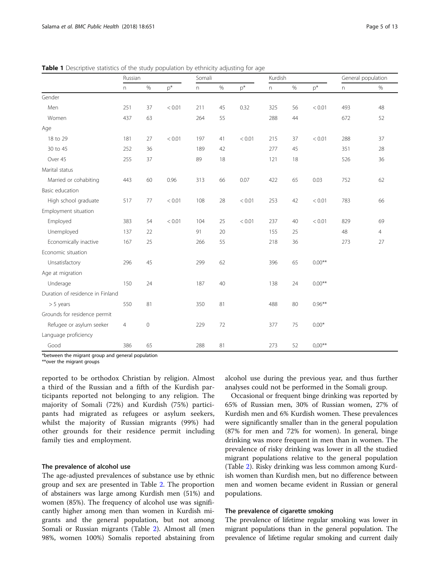|                                  | Russian        |      |        | Somali |      |        | Kurdish |      |          | General population |                |  |
|----------------------------------|----------------|------|--------|--------|------|--------|---------|------|----------|--------------------|----------------|--|
|                                  | $\overline{n}$ | $\%$ | $p^*$  | n      | $\%$ | $p^*$  | n       | $\%$ | $p^*$    | n                  | %              |  |
| Gender                           |                |      |        |        |      |        |         |      |          |                    |                |  |
| Men                              | 251            | 37   | < 0.01 | 211    | 45   | 0.32   | 325     | 56   | < 0.01   | 493                | 48             |  |
| Women                            | 437            | 63   |        | 264    | 55   |        | 288     | 44   |          | 672                | 52             |  |
| Age                              |                |      |        |        |      |        |         |      |          |                    |                |  |
| 18 to 29                         | 181            | 27   | < 0.01 | 197    | 41   | < 0.01 | 215     | 37   | < 0.01   | 288                | 37             |  |
| 30 to 45                         | 252            | 36   |        | 189    | 42   |        | 277     | 45   |          | 351                | 28             |  |
| Over 45                          | 255            | 37   |        | 89     | 18   |        | 121     | 18   |          | 526                | 36             |  |
| Marital status                   |                |      |        |        |      |        |         |      |          |                    |                |  |
| Married or cohabiting            | 443            | 60   | 0.96   | 313    | 66   | 0.07   | 422     | 65   | 0.03     | 752                | 62             |  |
| Basic education                  |                |      |        |        |      |        |         |      |          |                    |                |  |
| High school graduate             | 517            | 77   | < 0.01 | 108    | 28   | < 0.01 | 253     | 42   | < 0.01   | 783                | 66             |  |
| Employment situation             |                |      |        |        |      |        |         |      |          |                    |                |  |
| Employed                         | 383            | 54   | < 0.01 | 104    | 25   | < 0.01 | 237     | 40   | < 0.01   | 829                | 69             |  |
| Unemployed                       | 137            | 22   |        | 91     | 20   |        | 155     | 25   |          | 48                 | $\overline{4}$ |  |
| Economically inactive            | 167            | 25   |        | 266    | 55   |        | 218     | 36   |          | 273                | 27             |  |
| Economic situation               |                |      |        |        |      |        |         |      |          |                    |                |  |
| Unsatisfactory                   | 296            | 45   |        | 299    | 62   |        | 396     | 65   | $0.00**$ |                    |                |  |
| Age at migration                 |                |      |        |        |      |        |         |      |          |                    |                |  |
| Underage                         | 150            | 24   |        | 187    | 40   |        | 138     | 24   | $0.00**$ |                    |                |  |
| Duration of residence in Finland |                |      |        |        |      |        |         |      |          |                    |                |  |
| $> 5$ years                      | 550            | 81   |        | 350    | 81   |        | 488     | 80   | $0.96**$ |                    |                |  |
| Grounds for residence permit     |                |      |        |        |      |        |         |      |          |                    |                |  |
| Refugee or asylum seeker         | $\overline{4}$ | 0    |        | 229    | 72   |        | 377     | 75   | $0.00*$  |                    |                |  |
| Language proficiency             |                |      |        |        |      |        |         |      |          |                    |                |  |
| Good                             | 386            | 65   |        | 288    | 81   |        | 273     | 52   | $0,00**$ |                    |                |  |

<span id="page-4-0"></span>**Table 1** Descriptive statistics of the study population by ethnicity adjusting for age

\*between the migrant group and general population

\*\*over the migrant groups

reported to be orthodox Christian by religion. Almost a third of the Russian and a fifth of the Kurdish participants reported not belonging to any religion. The majority of Somali (72%) and Kurdish (75%) participants had migrated as refugees or asylum seekers, whilst the majority of Russian migrants (99%) had other grounds for their residence permit including family ties and employment.

# The prevalence of alcohol use

The age-adjusted prevalences of substance use by ethnic group and sex are presented in Table [2.](#page-5-0) The proportion of abstainers was large among Kurdish men (51%) and women (85%). The frequency of alcohol use was significantly higher among men than women in Kurdish migrants and the general population, but not among Somali or Russian migrants (Table [2](#page-5-0)). Almost all (men 98%, women 100%) Somalis reported abstaining from alcohol use during the previous year, and thus further analyses could not be performed in the Somali group.

Occasional or frequent binge drinking was reported by 65% of Russian men, 30% of Russian women, 27% of Kurdish men and 6% Kurdish women. These prevalences were significantly smaller than in the general population (87% for men and 72% for women). In general, binge drinking was more frequent in men than in women. The prevalence of risky drinking was lower in all the studied migrant populations relative to the general population (Table [2](#page-5-0)). Risky drinking was less common among Kurdish women than Kurdish men, but no difference between men and women became evident in Russian or general populations.

# The prevalence of cigarette smoking

The prevalence of lifetime regular smoking was lower in migrant populations than in the general population. The prevalence of lifetime regular smoking and current daily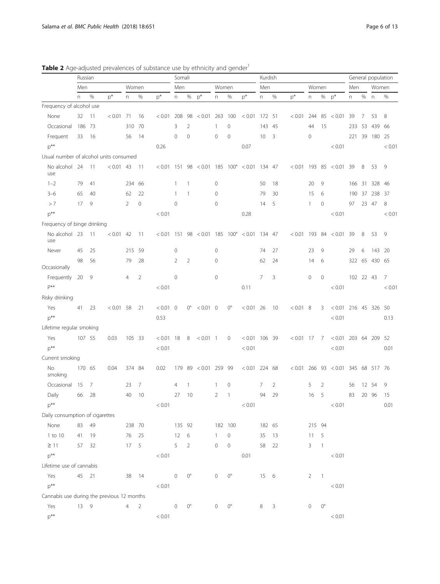<span id="page-5-0"></span>Table 2 Age-adjusted prevalences of substance use by ethnicity and gender<sup>1</sup>

|                                            | Russian  |       |             |        |                | Somali      |                |                |                              | Kurdish      |                    |                      |        |                | General population |                |                |                        |           |      |               |        |
|--------------------------------------------|----------|-------|-------------|--------|----------------|-------------|----------------|----------------|------------------------------|--------------|--------------------|----------------------|--------|----------------|--------------------|----------------|----------------|------------------------|-----------|------|---------------|--------|
|                                            | Men      |       |             | Women  |                | Men         |                |                | Women                        |              | Men                |                      |        | Women          |                    |                | Men            |                        | Women     |      |               |        |
|                                            | $\Gamma$ | $\%$  | $p^*$       | n      | $\%$           | $p^*$       | n              | $\%$           | $p^*$                        | n            | %                  | $p^*$                | n      | $\%$           | $p^*$              | n              | $\%$           | $p^*$                  | n         | $\%$ | $\Gamma$      | $\%$   |
| Frequency of alcohol use                   |          |       |             |        |                |             |                |                |                              |              |                    |                      |        |                |                    |                |                |                        |           |      |               |        |
| None                                       | 32       | 11    | < 0.01      | 71     | 16             | < 0.01      | 208            | 98             | < 0.01                       | 263          | 100                | < 0.01               | 172 51 |                | < 0.01             | 244            | 85             | < 0.01                 | 39        | 7    | 53            | 8      |
| Occasional                                 | 186 73   |       |             | 310    | 70             |             | 3              | $\overline{2}$ |                              | 1            | $\circ$            |                      | 143    | - 45           |                    | 44             | 15             |                        | 233       | 53   | 439           | - 66   |
| Frequent                                   | 33       | 16    |             | 56     | 14             |             | $\mathbf{0}$   | $\Omega$       |                              | 0            | $\mathbf{0}$       |                      | 10     | 3              |                    | $\mathbf 0$    |                |                        | 221       | 39   | 180 25        |        |
| $p^{**}$                                   |          |       |             |        |                | 0.26        |                |                |                              |              |                    | 0.07                 |        |                |                    |                |                | < 0.01                 |           |      |               | < 0.01 |
| Usual number of alcohol units consumed     |          |       |             |        |                |             |                |                |                              |              |                    |                      |        |                |                    |                |                |                        |           |      |               |        |
| No alcohol 24<br>use                       |          | $-11$ | $< 0.01$ 43 |        | 11             |             |                |                | $< 0.01$ 151 98 $< 0.01$ 185 |              |                    | $100^{\circ}$ < 0.01 | 134 47 |                | $< 0.01$ 193       |                | 85             | < 0.01                 | 39        | 8    | 53            | 9      |
| $1 - 2$                                    | 79       | 41    |             | 234    | -66            |             | 1              | -1             |                              | $\mathbf{0}$ |                    |                      | 50     | 18             |                    | 20             | 9              |                        | 166       |      | 31 328        | - 46   |
| $3 - 6$                                    | 65       | 40    |             | 62     | 22             |             | 1              | 1              |                              | $\mathbf 0$  |                    |                      | 79     | 30             |                    | 15             | 6              |                        | 190       | 37   | 238           | - 37   |
| >7                                         | 17       | 9     |             | 2      | $\mathbf 0$    |             | $\mathbf 0$    |                |                              | $\mathbf 0$  |                    |                      | 14     | 5              |                    | 1              | $\mathbf{0}$   |                        | 97        |      | 23 47         | 8      |
| $p^{**}$                                   |          |       |             |        |                | < 0.01      |                |                |                              |              |                    | 0.28                 |        |                |                    |                |                | < 0.01                 |           |      |               | < 0.01 |
| Frequency of binge drinking                |          |       |             |        |                |             |                |                |                              |              |                    |                      |        |                |                    |                |                |                        |           |      |               |        |
| No alcohol 23<br>use                       |          | 11    | < 0.01      | 42     | 11             | < 0.01      | 151            | 98             | $< 0.01$ 185                 |              |                    | $100^{\circ}$ < 0.01 | 134 47 |                | < 0.01             | 193            | 84             | < 0.01                 | 39        | 8    | 53            | 9      |
| Never                                      | 45       | 25    |             | 215    | 59             |             | 0              |                |                              | $\mathbf 0$  |                    |                      | 74     | 27             |                    | 23             | 9              |                        | 29        | 6    | 143           | - 20   |
| Occasionally                               | 98       | 56    |             | 79     | 28             |             | $\overline{2}$ | $\overline{2}$ |                              | 0            |                    |                      | 62     | 24             |                    | 14             | 6              |                        |           |      | 322 65 430 65 |        |
| Frequently                                 | 20       | 9     |             | 4      | $\overline{2}$ |             | 0              |                |                              | $\mathbf{0}$ |                    |                      | 7      | 3              |                    | 0              | $\mathbf{0}$   |                        | 102 22 43 |      |               | 7      |
| p**                                        |          |       |             |        |                | < 0.01      |                |                |                              |              |                    | 0.11                 |        |                |                    |                |                | < 0.01                 |           |      |               | < 0.01 |
| Risky drinking                             |          |       |             |        |                |             |                |                |                              |              |                    |                      |        |                |                    |                |                |                        |           |      |               |        |
| Yes                                        | 41       | 23    | $< 0.01$ 58 |        | 21             | $< 0.01$ 0  |                | $0^{\circ}$    | $< 0.01$ 0                   |              | $0^{\circ}$        | < 0.01               | - 26   | 10             | $< 0.01$ 8         |                | 3              | $< 0.01$ 216 45 326 50 |           |      |               |        |
| $p^{**}$                                   |          |       |             |        |                | 0.53        |                |                |                              |              |                    |                      |        |                |                    |                |                | < 0.01                 |           |      |               | 0.13   |
| Lifetime regular smoking                   |          |       |             |        |                |             |                |                |                              |              |                    |                      |        |                |                    |                |                |                        |           |      |               |        |
| Yes                                        | 107 55   |       | 0.03        | 105 33 |                | $< 0.01$ 18 |                | 8              | $< 0.01$ 1                   |              | 0                  | $< 0.01$ 106 39      |        |                | $< 0.01$ 17        |                | 7              | $< 0.01$ 203 64 209 52 |           |      |               |        |
| $p^{**}$                                   |          |       |             |        |                | < 0.01      |                |                |                              |              |                    | < 0.01               |        |                |                    |                |                | < 0.01                 |           |      |               | 0.01   |
| Current smoking                            |          |       |             |        |                |             |                |                |                              |              |                    |                      |        |                |                    |                |                |                        |           |      |               |        |
| No<br>smoking                              | 170 65   |       | 0.04        | 374 84 |                | 0.02        | 179            |                | 89 < 0.01 259                |              | -99                | $< 0.01$ 224 68      |        |                | < 0.01             | 266            | 93             | $< 0.01$ 345 68 517 76 |           |      |               |        |
| Occasional                                 | 15       | 7     |             | 23     | 7              |             | 4              | -1             |                              | 1            | 0                  |                      | 7      | $\overline{2}$ |                    | 5              | 2              |                        | 56        |      | 12 54         | 9      |
| Daily                                      | 66       | 28    |             | 40     | 10             |             | 27             | 10             |                              | 2            | $\mathbf{1}$       |                      | 94     | 29             |                    | 16             | 5              |                        | 83        |      | 20 96         | 15     |
| $p^{\ast\ast}$                             |          |       |             |        |                | < 0.01      |                |                |                              |              |                    | < 0.01               |        |                |                    |                |                | < 0.01                 |           |      |               | 0.01   |
| Daily consumption of cigarettes            |          |       |             |        |                |             |                |                |                              |              |                    |                      |        |                |                    |                |                |                        |           |      |               |        |
| None                                       | 83       | 49    |             | 238 70 |                |             | 135 92         |                |                              |              | 182 100            |                      | 182 65 |                |                    | 215 94         |                |                        |           |      |               |        |
| 1 to 10                                    | 41       | 19    |             | 76 25  |                |             | 12             | 6              |                              | 1            | $\circ$            |                      | 35     | 13             |                    | 11             | 5              |                        |           |      |               |        |
| $\geq$ 11                                  | 57       | 32    |             | 17     | 5              |             | 5              | $\overline{2}$ |                              | $\mathbf 0$  | $\mathbf 0$        |                      | 58     | 22             |                    | 3              | $\mathbf{1}$   |                        |           |      |               |        |
| $p^{**}$                                   |          |       |             |        |                | < 0.01      |                |                |                              |              |                    | 0.01                 |        |                |                    |                |                | < 0.01                 |           |      |               |        |
| Lifetime use of cannabis                   |          |       |             |        |                |             |                |                |                              |              |                    |                      |        |                |                    |                |                |                        |           |      |               |        |
| Yes                                        | 45 21    |       |             | 38     | 14             |             | 0              | $0^{\circ}$    |                              | $\circ$      | $0^{\circ}$        |                      | 15 6   |                |                    | $\overline{2}$ | $\overline{1}$ |                        |           |      |               |        |
| $p^{**}$                                   |          |       |             |        |                | < 0.01      |                |                |                              |              |                    |                      |        |                |                    |                |                | < 0.01                 |           |      |               |        |
| Cannabis use during the previous 12 months |          |       |             |        |                |             |                |                |                              |              |                    |                      |        |                |                    |                |                |                        |           |      |               |        |
| Yes                                        | 13 9     |       |             | 4      | $\overline{2}$ |             | 0              | $0^{\circ}$    |                              | $\mathbf 0$  | $\mathbb{O}^\circ$ |                      | 8      | 3              |                    | $\circ$        | $0^{\circ}$    |                        |           |      |               |        |
| $p^{**}$                                   |          |       |             |        |                | < 0.01      |                |                |                              |              |                    |                      |        |                |                    |                |                | < 0.01                 |           |      |               |        |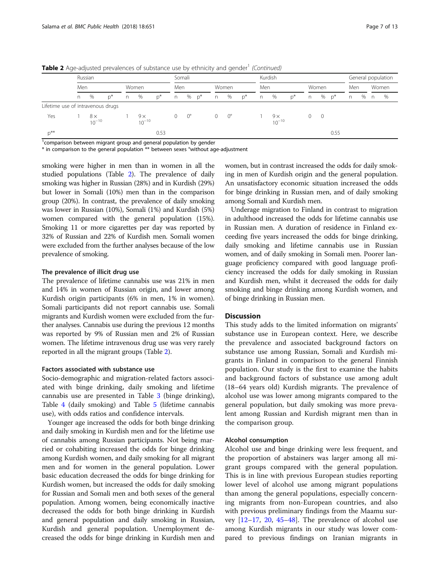|                                   |    | Russian                 |       |       |                          | Somali |    |             |       | Kurdish  |             |       |    |                          |       | General population |                |       |    |   |    |   |
|-----------------------------------|----|-------------------------|-------|-------|--------------------------|--------|----|-------------|-------|----------|-------------|-------|----|--------------------------|-------|--------------------|----------------|-------|----|---|----|---|
|                                   |    | Men                     |       | Women |                          | Men    |    | Women       |       | Men      |             | Women |    |                          | Men   |                    | Women          |       |    |   |    |   |
|                                   | n. | %                       | $D^*$ | n     | %                        | $p^*$  | n. | %           | $p^*$ | n.       | %           | $p^*$ | n. | $\%$                     | $D^*$ | n.                 | %              | $D^*$ | n. | % | n. | % |
| Lifetime use of intravenous drugs |    |                         |       |       |                          |        |    |             |       |          |             |       |    |                          |       |                    |                |       |    |   |    |   |
| Yes                               |    | $8\times$<br>$10^{-10}$ |       |       | $9 \times$<br>$10^{-10}$ |        | 0  | $0^{\circ}$ |       | $\Omega$ | $0^{\circ}$ |       |    | $9 \times$<br>$10^{-10}$ |       | 0                  | $\overline{0}$ |       |    |   |    |   |
| $p^{\ast\ast}$                    |    |                         |       |       |                          | 0.53   |    |             |       |          |             |       |    |                          |       |                    |                | 0.55  |    |   |    |   |

**Table 2** Age-adjusted prevalences of substance use by ethnicity and gender<sup>1</sup> (Continued)

1 comparison between migrant group and general population by gender

\* in comparison to the general population \*\* between sexes °without age-adjustment

smoking were higher in men than in women in all the studied populations (Table [2](#page-5-0)). The prevalence of daily smoking was higher in Russian (28%) and in Kurdish (29%) but lower in Somali (10%) men than in the comparison group (20%). In contrast, the prevalence of daily smoking was lower in Russian (10%), Somali (1%) and Kurdish (5%) women compared with the general population (15%). Smoking 11 or more cigarettes per day was reported by 32% of Russian and 22% of Kurdish men. Somali women were excluded from the further analyses because of the low prevalence of smoking.

#### The prevalence of illicit drug use

The prevalence of lifetime cannabis use was 21% in men and 14% in women of Russian origin, and lower among Kurdish origin participants (6% in men, 1% in women). Somali participants did not report cannabis use. Somali migrants and Kurdish women were excluded from the further analyses. Cannabis use during the previous 12 months was reported by 9% of Russian men and 2% of Russian women. The lifetime intravenous drug use was very rarely reported in all the migrant groups (Table [2](#page-5-0)).

#### Factors associated with substance use

Socio-demographic and migration-related factors associated with binge drinking, daily smoking and lifetime cannabis use are presented in Table [3](#page-7-0) (binge drinking), Table [4](#page-8-0) (daily smoking) and Table [5](#page-9-0) (lifetime cannabis use), with odds ratios and confidence intervals.

Younger age increased the odds for both binge drinking and daily smoking in Kurdish men and for the lifetime use of cannabis among Russian participants. Not being married or cohabiting increased the odds for binge drinking among Kurdish women, and daily smoking for all migrant men and for women in the general population. Lower basic education decreased the odds for binge drinking for Kurdish women, but increased the odds for daily smoking for Russian and Somali men and both sexes of the general population. Among women, being economically inactive decreased the odds for both binge drinking in Kurdish and general population and daily smoking in Russian, Kurdish and general population. Unemployment decreased the odds for binge drinking in Kurdish men and

women, but in contrast increased the odds for daily smoking in men of Kurdish origin and the general population. An unsatisfactory economic situation increased the odds for binge drinking in Russian men, and of daily smoking among Somali and Kurdish men.

Underage migration to Finland in contrast to migration in adulthood increased the odds for lifetime cannabis use in Russian men. A duration of residence in Finland exceeding five years increased the odds for binge drinking, daily smoking and lifetime cannabis use in Russian women, and of daily smoking in Somali men. Poorer language proficiency compared with good language proficiency increased the odds for daily smoking in Russian and Kurdish men, whilst it decreased the odds for daily smoking and binge drinking among Kurdish women, and of binge drinking in Russian men.

# **Discussion**

This study adds to the limited information on migrants' substance use in European context. Here, we describe the prevalence and associated background factors on substance use among Russian, Somali and Kurdish migrants in Finland in comparison to the general Finnish population. Our study is the first to examine the habits and background factors of substance use among adult (18–64 years old) Kurdish migrants. The prevalence of alcohol use was lower among migrants compared to the general population, but daily smoking was more prevalent among Russian and Kurdish migrant men than in the comparison group.

#### Alcohol consumption

Alcohol use and binge drinking were less frequent, and the proportion of abstainers was larger among all migrant groups compared with the general population. This is in line with previous European studies reporting lower level of alcohol use among migrant populations than among the general populations, especially concerning migrants from non-European countries, and also with previous preliminary findings from the Maamu survey [[12](#page-11-0)–[17](#page-11-0), [20,](#page-11-0) [45](#page-12-0)–[48](#page-12-0)]. The prevalence of alcohol use among Kurdish migrants in our study was lower compared to previous findings on Iranian migrants in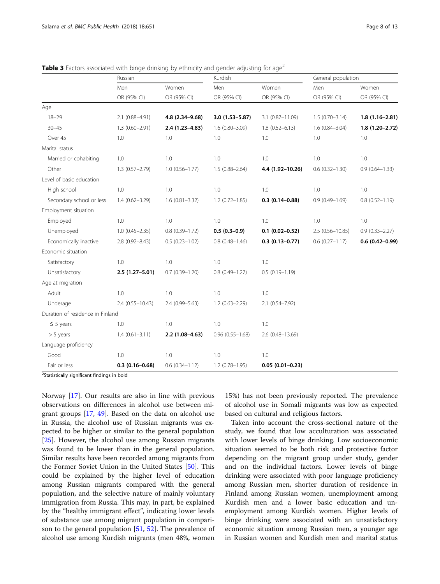|                                  | Russian             |                    | Kurdish             |                     | General population |                    |
|----------------------------------|---------------------|--------------------|---------------------|---------------------|--------------------|--------------------|
|                                  | Men                 | Women              | Men                 | Women               | Men                | Women              |
|                                  | OR (95% CI)         | OR (95% CI)        | OR (95% CI)         | OR (95% CI)         | OR (95% CI)        | OR (95% CI)        |
| Age                              |                     |                    |                     |                     |                    |                    |
| $18 - 29$                        | $2.1$ (0.88-4.91)   | 4.8 (2.34-9.68)    | $3.0(1.53 - 5.87)$  | 3.1 (0.87-11.09)    | $1.5(0.70-3.14)$   | $1.8(1.16 - 2.81)$ |
| $30 - 45$                        | $1.3(0.60 - 2.91)$  | $2.4(1.23 - 4.83)$ | $1.6(0.80 - 3.09)$  | $1.8(0.52 - 6.13)$  | $1.6(0.84 - 3.04)$ | $1.8(1.20 - 2.72)$ |
| Over 45                          | 1.0                 | 1.0                | 1.0                 | 1.0                 | 1.0                | 1.0                |
| Marital status                   |                     |                    |                     |                     |                    |                    |
| Married or cohabiting            | 1.0                 | 1.0                | 1.0                 | 1.0                 | 1.0                | 1.0                |
| Other                            | $1.3(0.57 - 2.79)$  | $1.0(0.56 - 1.77)$ | $1.5(0.88 - 2.64)$  | 4.4 (1.92-10.26)    | $0.6(0.32 - 1.30)$ | $0.9(0.64 - 1.33)$ |
| Level of basic education         |                     |                    |                     |                     |                    |                    |
| High school                      | 1.0                 | 1.0                | 1.0                 | 1.0                 | 1.0                | 1.0                |
| Secondary school or less         | $1.4(0.62 - 3.29)$  | $1.6(0.81 - 3.32)$ | $1.2(0.72 - 1.85)$  | $0.3(0.14 - 0.88)$  | $0.9(0.49 - 1.69)$ | $0.8(0.52 - 1.19)$ |
| Employment situation             |                     |                    |                     |                     |                    |                    |
| Employed                         | 1.0                 | 1.0                | 1.0                 | 1.0                 | 1.0                | 1.0                |
| Unemployed                       | $1.0(0.45 - 2.35)$  | $0.8(0.39 - 1.72)$ | $0.5(0.3-0.9)$      | $0.1(0.02 - 0.52)$  | 2.5 (0.56-10.85)   | $0.9(0.33 - 2.27)$ |
| Economically inactive            | $2.8(0.92 - 8.43)$  | $0.5(0.23 - 1.02)$ | $0.8(0.48 - 1.46)$  | $0.3(0.13 - 0.77)$  | $0.6(0.27 - 1.17)$ | $0.6(0.42 - 0.99)$ |
| Economic situation               |                     |                    |                     |                     |                    |                    |
| Satisfactory                     | 1.0                 | 1.0                | 1.0                 | 1.0                 |                    |                    |
| Unsatisfactory                   | $2.5(1.27 - 5.01)$  | $0.7(0.39 - 1.20)$ | $0.8(0.49 - 1.27)$  | $0.5(0.19 - 1.19)$  |                    |                    |
| Age at migration                 |                     |                    |                     |                     |                    |                    |
| Adult                            | 1.0                 | 1.0                | 1.0                 | 1.0                 |                    |                    |
| Underage                         | $2.4(0.55 - 10.43)$ | $2.4(0.99 - 5.63)$ | $1.2(0.63 - 2.29)$  | $2.1(0.54 - 7.92)$  |                    |                    |
| Duration of residence in Finland |                     |                    |                     |                     |                    |                    |
| $\leq$ 5 years                   | 1.0                 | 1.0                | 1.0                 | 1.0                 |                    |                    |
| $> 5$ years                      | $1.4(0.61 - 3.11)$  | $2.2(1.08-4.63)$   | $0.96(0.55 - 1.68)$ | 2.6 (0.48-13.69)    |                    |                    |
| Language proficiency             |                     |                    |                     |                     |                    |                    |
| Good                             | 1.0                 | 1.0                | 1.0                 | 1.0                 |                    |                    |
| Fair or less                     | $0.3(0.16 - 0.68)$  | $0.6(0.34 - 1.12)$ | $1.2(0.78 - 1.95)$  | $0.05(0.01 - 0.23)$ |                    |                    |

<span id="page-7-0"></span>**Table 3** Factors associated with binge drinking by ethnicity and gender adjusting for age<sup>2</sup>

<sup>2</sup>Statistically significant findings in bold

Norway [[17\]](#page-11-0). Our results are also in line with previous observations on differences in alcohol use between migrant groups [\[17](#page-11-0), [49\]](#page-12-0). Based on the data on alcohol use in Russia, the alcohol use of Russian migrants was expected to be higher or similar to the general population [[25\]](#page-11-0). However, the alcohol use among Russian migrants was found to be lower than in the general population. Similar results have been recorded among migrants from the Former Soviet Union in the United States [[50\]](#page-12-0). This could be explained by the higher level of education among Russian migrants compared with the general population, and the selective nature of mainly voluntary immigration from Russia. This may, in part, be explained by the "healthy immigrant effect", indicating lower levels of substance use among migrant population in comparison to the general population  $[51, 52]$  $[51, 52]$  $[51, 52]$  $[51, 52]$ . The prevalence of alcohol use among Kurdish migrants (men 48%, women

15%) has not been previously reported. The prevalence of alcohol use in Somali migrants was low as expected based on cultural and religious factors.

Taken into account the cross-sectional nature of the study, we found that low acculturation was associated with lower levels of binge drinking. Low socioeconomic situation seemed to be both risk and protective factor depending on the migrant group under study, gender and on the individual factors. Lower levels of binge drinking were associated with poor language proficiency among Russian men, shorter duration of residence in Finland among Russian women, unemployment among Kurdish men and a lower basic education and unemployment among Kurdish women. Higher levels of binge drinking were associated with an unsatisfactory economic situation among Russian men, a younger age in Russian women and Kurdish men and marital status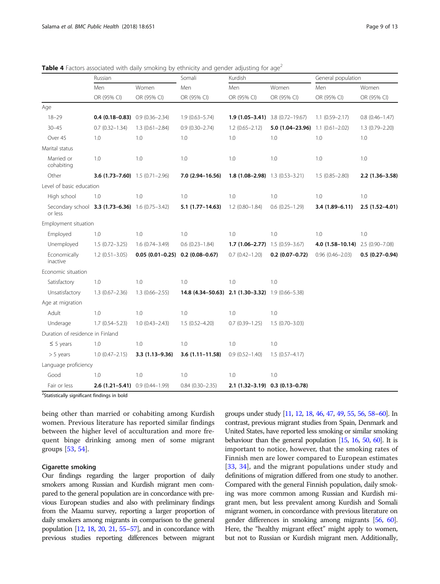|                                                             | Russian                                |                                         | Somali                                            | Kurdish                                |                                 | General population                       |                    |  |
|-------------------------------------------------------------|----------------------------------------|-----------------------------------------|---------------------------------------------------|----------------------------------------|---------------------------------|------------------------------------------|--------------------|--|
|                                                             | Men                                    | Women                                   | Men                                               | Men                                    | Women                           | Men                                      | Women              |  |
|                                                             | OR (95% CI)                            | OR (95% CI)                             | OR (95% CI)                                       | OR (95% CI)                            | OR (95% CI)                     | OR (95% CI)                              | OR (95% CI)        |  |
| Age                                                         |                                        |                                         |                                                   |                                        |                                 |                                          |                    |  |
| $18 - 29$                                                   | $0.4$ (0.18-0.83) 0.9 (0.36-2.34)      |                                         | $1.9(0.63 - 5.74)$                                | 1.9 $(1.05-3.41)$ 3.8 $(0.72-19.67)$   |                                 | $1.1(0.59 - 2.17)$                       | $0.8(0.46 - 1.47)$ |  |
| $30 - 45$                                                   | $0.7(0.32 - 1.34)$                     | $1.3(0.61 - 2.84)$                      | $0.9(0.30 - 2.74)$                                | $1.2(0.65 - 2.12)$                     | 5.0 (1.04-23.96)                | $1.1(0.61 - 2.02)$                       | $1.3(0.79 - 2.20)$ |  |
| Over 45                                                     | 1.0                                    | 1.0                                     | 1.0                                               | 1.0                                    | 1.0                             | 1.0                                      | 1.0                |  |
| Marital status                                              |                                        |                                         |                                                   |                                        |                                 |                                          |                    |  |
| Married or<br>cohabiting                                    | 1.0                                    | 1.0                                     | 1.0                                               | 1.0                                    | 1.0                             | 1.0                                      | 1.0                |  |
| Other                                                       | <b>3.6 (1.73-7.60)</b> 1.5 (0.71-2.96) |                                         | 7.0 (2.94-16.56)                                  | <b>1.8 (1.08-2.98)</b> 1.3 (0.53-3.21) |                                 | $1.5(0.85 - 2.80)$                       | $2.2(1.36 - 3.58)$ |  |
| Level of basic education                                    |                                        |                                         |                                                   |                                        |                                 |                                          |                    |  |
| High school                                                 | 1.0                                    | 1.0                                     | 1.0                                               | 1.0                                    | 1.0                             | 1.0                                      | 1.0                |  |
| Secondary school 3.3 (1.73-6.36) 1.6 (0.75-3.42)<br>or less |                                        |                                         | $5.1(1.77 - 14.63)$                               | $1.2(0.80 - 1.84)$                     | $0.6(0.25 - 1.29)$              | $3.4(1.89 - 6.11)$                       | $2.5(1.52 - 4.01)$ |  |
| Employment situation                                        |                                        |                                         |                                                   |                                        |                                 |                                          |                    |  |
| Employed                                                    | 1.0                                    | 1.0                                     | 1.0                                               | 1.0                                    | 1.0                             | 1.0                                      | 1.0                |  |
| Unemployed                                                  | $1.5(0.72 - 3.25)$                     | $1.6(0.74 - 3.49)$                      | $0.6(0.23 - 1.84)$                                | 1.7 $(1.06-2.77)$ 1.5 $(0.59-3.67)$    |                                 | 4.0 $(1.58 - 10.14)$ 2.5 $(0.90 - 7.08)$ |                    |  |
| Economically<br>inactive                                    | $1.2(0.51 - 3.05)$                     | $0.05(0.01 - 0.25)$ 0.2 $(0.08 - 0.67)$ |                                                   | $0.7(0.42 - 1.20)$                     | $0.2(0.07 - 0.72)$              | $0.96(0.46 - 2.03)$                      | $0.5(0.27 - 0.94)$ |  |
| Economic situation                                          |                                        |                                         |                                                   |                                        |                                 |                                          |                    |  |
| Satisfactory                                                | 1.0                                    | 1.0                                     | 1.0                                               | 1.0                                    | 1.0                             |                                          |                    |  |
| Unsatisfactory                                              | $1.3(0.67 - 2.36)$                     | $1.3(0.66 - 2.55)$                      | 14.8 (4.34-50.63) 2.1 (1.30-3.32) 1.9 (0.66-5.38) |                                        |                                 |                                          |                    |  |
| Age at migration                                            |                                        |                                         |                                                   |                                        |                                 |                                          |                    |  |
| Adult                                                       | 1.0                                    | 1.0                                     | 1.0                                               | 1.0                                    | 1.0                             |                                          |                    |  |
| Underage                                                    | $1.7(0.54 - 5.23)$                     | $1.0(0.43 - 2.43)$                      | $1.5(0.52 - 4.20)$                                | $0.7(0.39 - 1.25)$                     | $1.5(0.70 - 3.03)$              |                                          |                    |  |
| Duration of residence in Finland                            |                                        |                                         |                                                   |                                        |                                 |                                          |                    |  |
| $\leq$ 5 years                                              | 1.0                                    | 1.0                                     | 1.0                                               | 1.0                                    | 1.0                             |                                          |                    |  |
| $> 5$ years                                                 | $1.0(0.47 - 2.15)$                     | $3.3(1.13 - 9.36)$                      | $3.6(1.11 - 11.58)$                               | $0.9(0.52 - 1.40)$                     | $1.5(0.57 - 4.17)$              |                                          |                    |  |
| Language proficiency                                        |                                        |                                         |                                                   |                                        |                                 |                                          |                    |  |
| Good                                                        | 1.0                                    | 1.0                                     | 1.0                                               | 1.0                                    | 1.0                             |                                          |                    |  |
| Fair or less                                                | <b>2.6 (1.21-5.41)</b> 0.9 (0.44-1.99) |                                         | $0.84(0.30 - 2.35)$                               |                                        | 2.1 (1.32-3.19) 0.3 (0.13-0.78) |                                          |                    |  |

<span id="page-8-0"></span>**Table 4** Factors associated with daily smoking by ethnicity and gender adjusting for age<sup>2</sup>

Statistically significant findings in bold

being other than married or cohabiting among Kurdish women. Previous literature has reported similar findings between the higher level of acculturation and more frequent binge drinking among men of some migrant groups [[53](#page-12-0), [54](#page-12-0)].

# Cigarette smoking

Our findings regarding the larger proportion of daily smokers among Russian and Kurdish migrant men compared to the general population are in concordance with previous European studies and also with preliminary findings from the Maamu survey, reporting a larger proportion of daily smokers among migrants in comparison to the general population [\[12](#page-11-0), [18,](#page-11-0) [20,](#page-11-0) [21](#page-11-0), [55](#page-12-0)–[57](#page-12-0)], and in concordance with previous studies reporting differences between migrant

groups under study [[11,](#page-11-0) [12,](#page-11-0) [18](#page-11-0), [46](#page-12-0), [47](#page-12-0), [49](#page-12-0), [55](#page-12-0), [56](#page-12-0), [58](#page-12-0)–[60](#page-12-0)]. In contrast, previous migrant studies from Spain, Denmark and United States, have reported less smoking or similar smoking behaviour than the general population [\[15](#page-11-0), [16](#page-11-0), [50,](#page-12-0) [60\]](#page-12-0). It is important to notice, however, that the smoking rates of Finnish men are lower compared to European estimates [[33,](#page-11-0) [34](#page-11-0)], and the migrant populations under study and definitions of migration differed from one study to another. Compared with the general Finnish population, daily smoking was more common among Russian and Kurdish migrant men, but less prevalent among Kurdish and Somali migrant women, in concordance with previous literature on gender differences in smoking among migrants [[56](#page-12-0), [60](#page-12-0)]. Here, the "healthy migrant effect" might apply to women, but not to Russian or Kurdish migrant men. Additionally,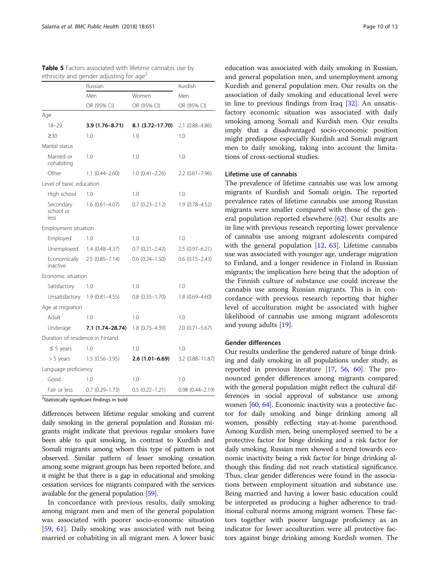|                                  | Russian            |                    | Kurdish             |
|----------------------------------|--------------------|--------------------|---------------------|
|                                  | Men                | Women              | Men                 |
|                                  | OR (95% CI)        | OR (95% CI)        | OR (95% CI)         |
| Age                              |                    |                    |                     |
| $18 - 29$                        | 3.9 (1.76-8.71)    | 8.1 (3.72-17.70)   | 2.1 (0.88-4.86)     |
| $\geq$ 30                        | 1.0                | 1.0                | 1.0                 |
| Marital status                   |                    |                    |                     |
| Married or<br>cohabiting         | 1.0                | 1.0                | 1.0                 |
| Other                            | $1.1(0.44 - 2.60)$ | $1.0(0.41 - 2.26)$ | $2.2(0.61 - 7.96)$  |
| Level of basic education         |                    |                    |                     |
| High school                      | 1.0                | 1.0                | 1.0                 |
| Secondary<br>school or<br>less   | $1.6(0.61 - 4.07)$ | $0.7(0.23 - 2.12)$ | $1.9(0.78 - 4.52)$  |
| Employment situation             |                    |                    |                     |
| Employed                         | 1.0                | 1.0                | 1.0                 |
| Unemployed                       | 1.4 (0.48-4.37)    | $0.7(0.21 - 2.42)$ | 2.5 (0.97–6.21)     |
| Economically<br>inactive         | $2.5(0.85 - 7.14)$ | $0.6(0.24 - 1.50)$ | $0.6(0.15 - 2.43)$  |
| Economic situation               |                    |                    |                     |
| Satisfactory                     | 1.0                | 1.0                | 1.0                 |
| Unsatisfactory                   | $1.9(0.81 - 4.55)$ | $0.8(0.35 - 1.70)$ | $1.8(0.69 - 4.60)$  |
| Age at migration                 |                    |                    |                     |
| Adult                            | 1.0                | 1.0                | 1.0                 |
| Underage                         | 7.1 (1.74-28.74)   | $1.8(0.75 - 4.39)$ | $2.0(0.71 - 5.67)$  |
| Duration of residence in Finland |                    |                    |                     |
| $\leq$ 5 years                   | 1.0                | 1.0                | 1.0                 |
| > 5 years                        | $1.5(0.56 - 3.95)$ | $2.6(1.01 - 6.69)$ | 3.2 (0.88-11.87)    |
| Language proficiency             |                    |                    |                     |
| Good                             | 1.0                | 1.0                | 1.0                 |
| Fair or less                     | $0.7(0.29 - 1.73)$ | $0.5(0.22 - 1.21)$ | $0.98(0.44 - 2.19)$ |

<span id="page-9-0"></span>

| <b>Table 5</b> Factors associated with lifetime cannabis use by |  |
|-----------------------------------------------------------------|--|
| ethnicity and gender adjusting for age <sup>2</sup>             |  |

<sup>2</sup>Statistically significant findings in bold

differences between lifetime regular smoking and current daily smoking in the general population and Russian migrants might indicate that previous regular smokers have been able to quit smoking, in contrast to Kurdish and Somali migrants among whom this type of pattern is not observed. Similar pattern of lesser smoking cessation among some migrant groups has been reported before, and it might be that there is a gap in educational and smoking cessation services for migrants compared with the services available for the general population [[59](#page-12-0)].

In concordance with previous results, daily smoking among migrant men and men of the general population was associated with poorer socio-economic situation [[59,](#page-12-0) [61](#page-12-0)]. Daily smoking was associated with not being married or cohabiting in all migrant men. A lower basic education was associated with daily smoking in Russian, and general population men, and unemployment among Kurdish and general population men. Our results on the association of daily smoking and educational level were in line to previous findings from Iraq [[32\]](#page-11-0). An unsatisfactory economic situation was associated with daily smoking among Somali and Kurdish men. Our results imply that a disadvantaged socio-economic position might predispose especially Kurdish and Somali migrant men to daily smoking, taking into account the limitations of cross-sectional studies.

# Lifetime use of cannabis

The prevalence of lifetime cannabis use was low among migrants of Kurdish and Somali origin. The reported prevalence rates of lifetime cannabis use among Russian migrants were smaller compared with those of the general population reported elsewhere [\[62](#page-12-0)]. Our results are in line with previous research reporting lower prevalence of cannabis use among migrant adolescents compared with the general population [\[12](#page-11-0), [63](#page-12-0)]. Lifetime cannabis use was associated with younger age, underage migration to Finland, and a longer residence in Finland in Russian migrants; the implication here being that the adoption of the Finnish culture of substance use could increase the cannabis use among Russian migrants. This is in concordance with previous research reporting that higher level of acculturation might be associated with higher likelihood of cannabis use among migrant adolescents and young adults [\[19](#page-11-0)].

# Gender differences

Our results underline the gendered nature of binge drinking and daily smoking in all populations under study, as reported in previous literature [[17](#page-11-0), [56,](#page-12-0) [60](#page-12-0)]. The pronounced gender differences among migrants compared with the general population might reflect the cultural differences in social approval of substance use among women [\[60](#page-12-0), [64\]](#page-12-0). Economic inactivity was a protective factor for daily smoking and binge drinking among all women, possibly reflecting stay-at-home parenthood. Among Kurdish men, being unemployed seemed to be a protective factor for binge drinking and a risk factor for daily smoking. Russian men showed a trend towards economic inactivity being a risk factor for binge drinking although this finding did not reach statistical significance. Thus, clear gender differences were found in the associations between employment situation and substance use. Being married and having a lower basic education could be interpreted as producing a higher adherence to traditional cultural norms among migrant women. These factors together with poorer language proficiency as an indicator for lower acculturation were all protective factors against binge drinking among Kurdish women. The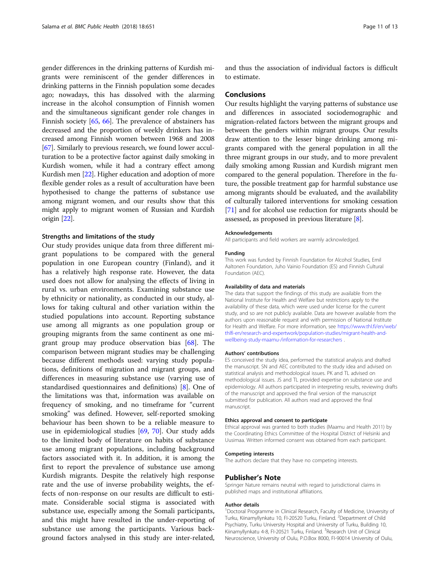gender differences in the drinking patterns of Kurdish migrants were reminiscent of the gender differences in drinking patterns in the Finnish population some decades ago; nowadays, this has dissolved with the alarming increase in the alcohol consumption of Finnish women and the simultaneous significant gender role changes in Finnish society [[65](#page-12-0), [66](#page-12-0)]. The prevalence of abstainers has decreased and the proportion of weekly drinkers has increased among Finnish women between 1968 and 2008 [[67](#page-12-0)]. Similarly to previous research, we found lower acculturation to be a protective factor against daily smoking in Kurdish women, while it had a contrary effect among Kurdish men [\[22](#page-11-0)]. Higher education and adoption of more flexible gender roles as a result of acculturation have been hypothesised to change the patterns of substance use among migrant women, and our results show that this might apply to migrant women of Russian and Kurdish origin [[22\]](#page-11-0).

#### Strengths and limitations of the study

Our study provides unique data from three different migrant populations to be compared with the general population in one European country (Finland), and it has a relatively high response rate. However, the data used does not allow for analysing the effects of living in rural vs. urban environments. Examining substance use by ethnicity or nationality, as conducted in our study, allows for taking cultural and other variation within the studied populations into account. Reporting substance use among all migrants as one population group or grouping migrants from the same continent as one migrant group may produce observation bias [[68](#page-12-0)]. The comparison between migrant studies may be challenging because different methods used: varying study populations, definitions of migration and migrant groups, and differences in measuring substance use (varying use of standardised questionnaires and definitions) [\[8\]](#page-11-0). One of the limitations was that, information was available on frequency of smoking, and no timeframe for "current smoking" was defined. However, self-reported smoking behaviour has been shown to be a reliable measure to use in epidemiological studies [[69,](#page-12-0) [70\]](#page-12-0). Our study adds to the limited body of literature on habits of substance use among migrant populations, including background factors associated with it. In addition, it is among the first to report the prevalence of substance use among Kurdish migrants. Despite the relatively high response rate and the use of inverse probability weights, the effects of non-response on our results are difficult to estimate. Considerable social stigma is associated with substance use, especially among the Somali participants, and this might have resulted in the under-reporting of substance use among the participants. Various background factors analysed in this study are inter-related,

and thus the association of individual factors is difficult to estimate.

#### Conclusions

Our results highlight the varying patterns of substance use and differences in associated sociodemographic and migration-related factors between the migrant groups and between the genders within migrant groups. Our results draw attention to the lesser binge drinking among migrants compared with the general population in all the three migrant groups in our study, and to more prevalent daily smoking among Russian and Kurdish migrant men compared to the general population. Therefore in the future, the possible treatment gap for harmful substance use among migrants should be evaluated, and the availability of culturally tailored interventions for smoking cessation [[71](#page-12-0)] and for alcohol use reduction for migrants should be assessed, as proposed in previous literature [\[8\]](#page-11-0).

#### Acknowledgements

All participants and field workers are warmly acknowledged.

#### Funding

This work was funded by Finnish Foundation for Alcohol Studies, Emil Aaltonen Foundation, Juho Vainio Foundation (ES) and Finnish Cultural Foundation (AEC).

#### Availability of data and materials

The data that support the findings of this study are available from the National Institute for Health and Welfare but restrictions apply to the availability of these data, which were used under license for the current study, and so are not publicly available. Data are however available from the authors upon reasonable request and with permission of National Institute for Health and Welfare. For more information, see [https://www.thl.fi/en/web/](https://www.thl.fi/en/web/thlfi-en/research-and-expertwork/population-studies/migrant-health-and-wellbeing-study-maamu-/information-for-researchers) [thlfi-en/research-and-expertwork/population-studies/migrant-health-and](https://www.thl.fi/en/web/thlfi-en/research-and-expertwork/population-studies/migrant-health-and-wellbeing-study-maamu-/information-for-researchers)[wellbeing-study-maamu-/information-for-researchers](https://www.thl.fi/en/web/thlfi-en/research-and-expertwork/population-studies/migrant-health-and-wellbeing-study-maamu-/information-for-researchers) .

#### Authors' contributions

ES conceived the study idea, performed the statistical analysis and drafted the manuscript. SN and AEC contributed to the study idea and advised on statistical analysis and methodological issues. PK and TL advised on methodological issues. JS and TL provided expertise on substance use and epidemiology. All authors participated in interpreting results, reviewing drafts of the manuscript and approved the final version of the manuscript submitted for publication. All authors read and approved the final manuscript.

#### Ethics approval and consent to participate

Ethical approval was granted to both studies (Maamu and Health 2011) by the Coordinating Ethics Committee of the Hospital District of Helsinki and Uusimaa. Written informed consent was obtained from each participant.

#### Competing interests

The authors declare that they have no competing interests.

# Publisher's Note

Springer Nature remains neutral with regard to jurisdictional claims in published maps and institutional affiliations.

#### Author details

<sup>1</sup>Doctoral Programme in Clinical Research, Faculty of Medicine, University of Turku, Kiinamyllynkatu 10, FI-20520 Turku, Finland. <sup>2</sup>Department of Child Psychiatry, Turku University Hospital and University of Turku, Building 10, Kiinamyllynkatu 4-8, FI-20521 Turku, Finland. <sup>3</sup>Research Unit of Clinical Neuroscience, University of Oulu, P.O.Box 8000, FI-90014 University of Oulu,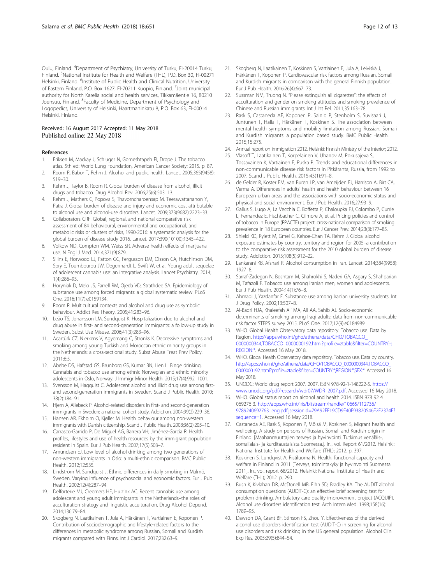<span id="page-11-0"></span>Oulu, Finland. <sup>4</sup>Department of Psychiatry, University of Turku, FI-20014 Turku, Finland. <sup>5</sup>National Institute for Health and Welfare (THL), P.O. Box 30, FI-00271 Helsinki, Finland. <sup>6</sup>Institute of Public Health and Clinical Nutrition, University of Eastern Finland, P.O. Box 1627, FI-70211 Kuopio, Finland. <sup>7</sup>Joint municipal authority for North Karelia social and health services, Tikkamäentie 16, 80210 Joensuu, Finland. <sup>8</sup>Faculty of Medicine, Department of Psychology and Logopedics, University of Helsinki, Haartmaninkatu 8, P.O. Box 63, FI-00014 Helsinki, Finland.

# Received: 16 August 2017 Accepted: 11 May 2018 Published online: 22 May 2018

#### **References**

- 1. Eriksen M, Mackay J, Schluger N, Gomeshtapeh FI, Drope J. The tobacco atlas. 5th ed: World Lung Foundation, American Cancer Society; 2015. p. 87.
- 2. Room R, Babor T, Rehm J. Alcohol and public health. Lancet. 2005;365(9458): 519–30.
- 3. Rehm J, Taylor B, Room R. Global burden of disease from alcohol, illicit drugs and tobacco. Drug Alcohol Rev. 2006;25(6):503–13.
- 4. Rehm J, Mathers C, Popova S, Thavorncharoensap M, Teerawattananon Y, Patra J. Global burden of disease and injury and economic cost attributable to alcohol use and alcohol-use disorders. Lancet. 2009;373(9682):2223–33.
- 5. Collaborators GRF. Global, regional, and national comparative risk assessment of 84 behavioural, environmental and occupational, and metabolic risks or clusters of risks, 1990-2016: a systematic analysis for the global burden of disease study 2016. Lancet. 2017;390(10100):1345–422.
- 6. Volkow ND, Compton WM, Weiss SR. Adverse health effects of marijuana use. N Engl J Med. 2014;371(9):879.
- Silins E, Horwood LJ, Patton GC, Fergusson DM, Olsson CA, Hutchinson DM, Spry E, Toumbourou JW, Degenhardt L, Swift W, et al. Young adult sequelae of adolescent cannabis use: an integrative analysis. Lancet Psychiatry. 2014; 1(4):286–93.
- 8. Horyniak D, Melo JS, Farrell RM, Ojeda VD, Strathdee SA. Epidemiology of substance use among forced migrants: a global systematic review. PLoS One. 2016;11(7):e0159134.
- 9. Room R. Multicultural contexts and alcohol and drug use as symbolic behaviour. Addict Res Theory. 2005;41:283–96.
- 10. Leão TS, Johansson LM, Sundquist K. Hospitalization due to alcohol and drug abuse in first- and second-generation immigrants: a follow-up study in Sweden. Subst Use Misuse. 2006;41(3):283–96.
- 11. Acartürk CZ, Nierkens V, Agyemang C, Stronks K. Depressive symptoms and smoking among young Turkish and Moroccan ethnic minority groups in the Netherlands: a cross-sectional study. Subst Abuse Treat Prev Policy. 2011;6:5.
- 12. Abebe DS, Hafstad GS, Brunborg GS, Kumar BN, Lien L. Binge drinking, Cannabis and tobacco use among ethnic Norwegian and ethnic minority adolescents in Oslo, Norway. J Immigr Minor Health. 2015;17(4):992–1001.
- 13. Svensson M, Hagquist C. Adolescent alcohol and illicit drug use among firstand second-generation immigrants in Sweden. Scand J Public Health. 2010; 38(2):184–91.
- 14. Hjern A, Allebeck P. Alcohol-related disorders in first- and second-generation immigrants in Sweden: a national cohort study. Addiction. 2004;99(2):229–36.
- 15. Hansen AR, Ekholm O, Kjøller M. Health behaviour among non-western immigrants with Danish citizenship. Scand J Public Health. 2008;36(2):205–10.
- 16. Carrasco-Garrido P, De Miguel AG, Barrera VH, Jiménez-García R. Health profiles, lifestyles and use of health resources by the immigrant population resident in Spain. Eur J Pub Health. 2007;17(5):503–7.
- 17. Amundsen EJ. Low level of alcohol drinking among two generations of non-western immigrants in Oslo: a multi-ethnic comparison. BMC Public Health. 2012;12:535.
- 18. Lindström M, Sundquist J. Ethnic differences in daily smoking in Malmö, Sweden. Varying influence of psychosocial and economic factors. Eur J Pub Health. 2002;12(4):287–94.
- 19. Delforterie MJ, Creemers HE, Huizink AC. Recent cannabis use among adolescent and young adult immigrants in the Netherlands–the roles of acculturation strategy and linguistic acculturation. Drug Alcohol Depend. 2014;136:79–84.
- 20. Skogberg N, Laatikainen T, Jula A, Härkänen T, Vartiainen E, Koponen P. Contribution of sociodemographic and lifestyle-related factors to the differences in metabolic syndrome among Russian, Somali and Kurdish migrants compared with Finns. Int J Cardiol. 2017;232:63–9.
- 21. Skogberg N, Laatikainen T, Koskinen S, Vartiainen E, Jula A, Leiviskä J, Härkänen T, Koponen P. Cardiovascular risk factors among Russian, Somali and Kurdish migrants in comparison with the general Finnish population. Eur J Pub Health. 2016;26(4):667–73.
- 22. Sussman NM, Truong N. "Please extinguish all cigarettes": the effects of acculturation and gender on smoking attitudes and smoking prevalence of Chinese and Russian immigrants. Int J Int Rel. 2011;35:163–78.
- 23. Rask S, Castaneda AE, Koponen P, Sainio P, Stenholm S, Suvisaari J, Juntunen T, Halla T, Härkänen T, Koskinen S. The association between mental health symptoms and mobility limitation among Russian, Somali and Kurdish migrants: a population based study. BMC Public Health. 2015;15:275.
- 24. Annual report on immigration 2012. Helsinki: Finnish Ministry of the Interior; 2012.
- 25. Vlasoff T, Laatikainen T, Korpelainen V, Uhanov M, Pokusajeva S, Tossavainen K, Vartiainen E, Puska P. Trends and educational differences in non-communicable disease risk factors in Pitkäranta, Russia, from 1992 to 2007. Scand J Public Health. 2015;43(1):91–8.
- 26. de Gelder R, Koster EM, van Buren LP, van Ameijden EJ, Harrison A, Birt CA, Verma A. Differences in adults' health and health behaviour between 16 European urban areas and the associations with socio-economic status and physical and social environment. Eur J Pub Health. 2016;27:93–9.
- 27. Gallus S, Lugo A, La Vecchia C, Boffetta P, Chaloupka FJ, Colombo P, Currie L, Fernandez E, Fischbacher C, Gilmore A, et al. Pricing policies and control of tobacco in Europe (PPACTE) project: cross-national comparison of smoking prevalence in 18 European countries. Eur J Cancer Prev. 2014;23(3):177–85.
- 28. Shield KD, Rylett M, Gmel G, Kehoe-Chan TA, Rehm J. Global alcohol exposure estimates by country, territory and region for 2005–a contribution to the comparative risk assessment for the 2010 global burden of disease study. Addiction. 2013;108(5):912–22.
- 29. Lankarani KB, Afshari R. Alcohol consumption in Iran. Lancet. 2014;384(9958): 1927–8.
- 30. Sarraf-Zadegan N, Boshtam M, Shahrokhi S, Naderi GA, Asgary S, Shahparian M, Tafazoli F. Tobacco use among Iranian men, women and adolescents. Eur J Pub Health. 2004;14(1):76–8.
- 31. Ahmadi J, Yazdanfar F. Substance use among Iranian university students. Int J Drug Policy. 2002;13:507–8.
- 32. Al-Badri HJA, Khaleefah Ali MA, Ali AA, Sahib AJ. Socio-economic determinants of smoking among Iraqi adults: data from non-communicable risk factor STEPS survey 2015. PLoS One. 2017;12(9):e0184989.
- 33. WHO. Global Health Observatory data repository. Tobacco use. Data by Region. [http://apps.who.int/gho/athena/data/GHO/TOBACCO\\_](http://apps.who.int/gho/athena/data/GHO/TOBACCO_0000000344,TOBACCO_0000000192.html?profile=ztable&filter=COUNTRY:-;REGION:*) [0000000344,TOBACCO\\_0000000192.html?profile=ztable&filter=COUNTRY:-;](http://apps.who.int/gho/athena/data/GHO/TOBACCO_0000000344,TOBACCO_0000000192.html?profile=ztable&filter=COUNTRY:-;REGION:*) [REGION:\\*.](http://apps.who.int/gho/athena/data/GHO/TOBACCO_0000000344,TOBACCO_0000000192.html?profile=ztable&filter=COUNTRY:-;REGION:*) Accessed 16 May 2018.
- 34. WHO. Global Health Observatory data repository. Tobacco use. Data by country. [http://apps.who.int/gho/athena/data/GHO/TOBACCO\\_0000000344,TOBACCO\\_](http://apps.who.int/gho/athena/data/GHO/TOBACCO_0000000344,TOBACCO_0000000192.html?profile=ztable&filter=COUNTRY:*;REGION:*;SEX:*) [0000000192.html?profile=ztable&filter=COUNTRY:\\*;REGION:\\*;SEX:\\*.](http://apps.who.int/gho/athena/data/GHO/TOBACCO_0000000344,TOBACCO_0000000192.html?profile=ztable&filter=COUNTRY:*;REGION:*;SEX:*) Accessed 16 May 2018.
- 35. UNODC: World drug report 2007. 2007. ISBN 978-92-1-148222-5. [https://](https://www.unodc.org/pdf/research/wdr07/WDR_2007.pdf) [www.unodc.org/pdf/research/wdr07/WDR\\_2007.pdf](https://www.unodc.org/pdf/research/wdr07/WDR_2007.pdf). Accessed 16 May 2018.
- 36. WHO. Global status report on alcohol and health 2014. ISBN 978 92 4 069276 3. [http://apps.who.int/iris/bitstream/handle/10665/112736/](http://apps.who.int/iris/bitstream/handle/10665/112736/9789240692763_eng.pdf;jsessionid=79A92EF19CD9E40E93820546E2F2374E?sequence=1) [9789240692763\\_eng.pdf;jsessionid=79A92EF19CD9E40E93820546E2F2374E?](http://apps.who.int/iris/bitstream/handle/10665/112736/9789240692763_eng.pdf;jsessionid=79A92EF19CD9E40E93820546E2F2374E?sequence=1) [sequence=1.](http://apps.who.int/iris/bitstream/handle/10665/112736/9789240692763_eng.pdf;jsessionid=79A92EF19CD9E40E93820546E2F2374E?sequence=1) Accessed 16 May 2018.
- 37. Castaneda AE, Rask S, Koponen P, Mölsä M, Koskinen S, Migrant health and wellbeing. A study on persons of Russian, Somali and Kurdish origin in Finland. [Maahanmuuttajien terveys ja hyvinvointi. Tutkimus venäläis-, somalialais- ja kurditaustaisista Suomessa.]. In., vol. Report 61/2012. Helsinki: National Institute for Health and Welfare (THL); 2012. p. 397.
- 38. Koskinen S, Lundqvist A, Ristiluoma N. Health, functional capacity and welfare in Finland in 2011 [Terveys, toimintakyky ja hyvinvointi Suomessa 2011]. In., vol. report 68/2012. Helsinki: National Institute of Health and Welfare (THL); 2012. p. 290.
- 39. Bush K, Kivlahan DR, McDonell MB, Fihn SD, Bradley KA. The AUDIT alcohol consumption questions (AUDIT-C): an effective brief screening test for problem drinking. Ambulatory care quality improvement project (ACQUIP). Alcohol use disorders identification test. Arch Intern Med. 1998;158(16): 1789–95.
- 40. Dawson DA, Grant BF, Stinson FS, Zhou Y. Effectiveness of the derived alcohol use disorders identification test (AUDIT-C) in screening for alcohol use disorders and risk drinking in the US general population. Alcohol Clin Exp Res. 2005;29(5):844–54.